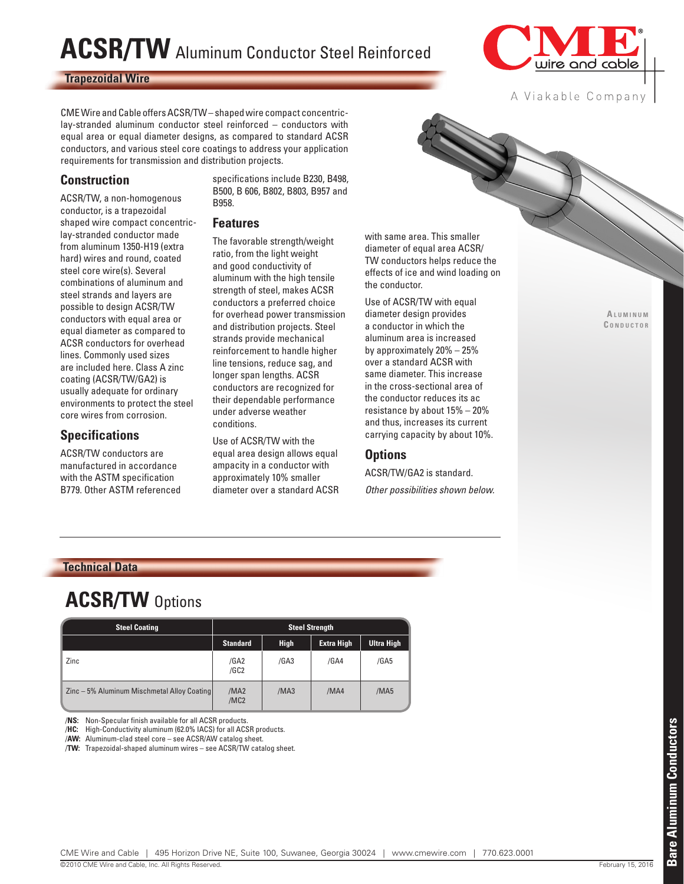# **ACSR/TW** Aluminum Conductor Steel Reinforced

#### **Trapezoidal Wire**



A Viakable Company

CME Wire and Cable offers ACSR/TW – shaped wire compact concentriclay-stranded aluminum conductor steel reinforced – conductors with equal area or equal diameter designs, as compared to standard ACSR conductors, and various steel core coatings to address your application requirements for transmission and distribution projects.

#### **Construction**

ACSR/TW, a non-homogenous conductor, is a trapezoidal shaped wire compact concentriclay-stranded conductor made from aluminum 1350-H19 (extra hard) wires and round, coated steel core wire(s). Several combinations of aluminum and steel strands and layers are possible to design ACSR/TW conductors with equal area or equal diameter as compared to ACSR conductors for overhead lines. Commonly used sizes are included here. Class A zinc coating (ACSR/TW/GA2) is usually adequate for ordinary environments to protect the steel core wires from corrosion.

#### **Specifications**

ACSR/TW conductors are manufactured in accordance with the ASTM specification B779. Other ASTM referenced specifications include B230, B498, B500, B 606, B802, B803, B957 and B958.

#### **Features**

The favorable strength/weight ratio, from the light weight and good conductivity of aluminum with the high tensile strength of steel, makes ACSR conductors a preferred choice for overhead power transmission and distribution projects. Steel strands provide mechanical reinforcement to handle higher line tensions, reduce sag, and longer span lengths. ACSR conductors are recognized for their dependable performance under adverse weather conditions.

Use of ACSR/TW with the equal area design allows equal ampacity in a conductor with approximately 10% smaller diameter over a standard ACSR with same area. This smaller diameter of equal area ACSR/ TW conductors helps reduce the effects of ice and wind loading on the conductor.

Use of ACSR/TW with equal diameter design provides a conductor in which the aluminum area is increased by approximately 20% – 25% over a standard ACSR with same diameter. This increase in the cross-sectional area of the conductor reduces its ac resistance by about 15% – 20% and thus, increases its current carrying capacity by about 10%.

#### **Options**

ACSR/TW/GA2 is standard. *Other possibilities shown below.*

**A l u m i n u m C o n d u <sup>c</sup> t o r**

#### **Technical Data**

### **ACSR/TW** Options

| <b>Steel Coating</b>                        | <b>Steel Strength</b>                |             |                   |                   |  |  |  |  |  |
|---------------------------------------------|--------------------------------------|-------------|-------------------|-------------------|--|--|--|--|--|
|                                             | <b>Standard</b>                      | <b>High</b> | <b>Extra High</b> | <b>Ultra High</b> |  |  |  |  |  |
| Zinc                                        | /GA2<br>/GC <sub>2</sub>             | /GA3        | /GA4              | /GA5              |  |  |  |  |  |
| Zinc - 5% Aluminum Mischmetal Alloy Coating | /MA <sub>2</sub><br>/MC <sub>2</sub> | /MA3        | /MA4              | /MA5              |  |  |  |  |  |

/**NS:** Non-Specular finish available for all ACSR products.

/**HC:** High-Conductivity aluminum (62.0% IACS) for all ACSR products.

/**AW:** Aluminum-clad steel core – see ACSR/AW catalog sheet.

/**TW:** Trapezoidal-shaped aluminum wires – see ACSR/TW catalog sheet.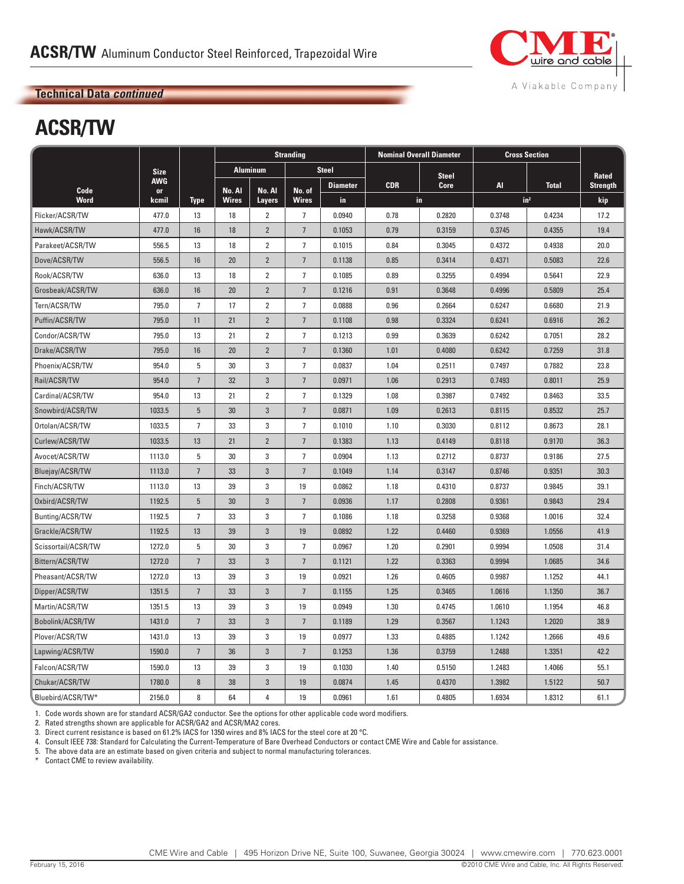

# **ACSR/TW**

|                     |                  |                 | <b>Stranding</b> |                 |                 | <b>Nominal Overall Diameter</b> | <b>Cross Section</b> |             |                 |              |                 |
|---------------------|------------------|-----------------|------------------|-----------------|-----------------|---------------------------------|----------------------|-------------|-----------------|--------------|-----------------|
|                     | <b>Size</b>      |                 |                  | <b>Aluminum</b> |                 | <b>Steel</b>                    | <b>Steel</b>         |             |                 |              | Rated           |
| Code                | <b>AWG</b><br>or |                 | No. Al           | No. Al          | No. of          | <b>Diameter</b>                 | <b>CDR</b>           | <b>Core</b> | <b>AI</b>       | <b>Total</b> | <b>Strength</b> |
| Word                | kcmil            | <b>Type</b>     | <b>Wires</b>     | <b>Layers</b>   | <b>Wires</b>    | in.                             |                      | in.         | in <sup>2</sup> |              | kip             |
| Flicker/ACSR/TW     | 477.0            | 13              | 18               | $\overline{2}$  | $\overline{7}$  | 0.0940                          | 0.78                 | 0.2820      | 0.3748          | 0.4234       | 17.2            |
| Hawk/ACSR/TW        | 477.0            | 16              | 18               | $\overline{2}$  | $\overline{7}$  | 0.1053                          | 0.79                 | 0.3159      | 0.3745          | 0.4355       | 19.4            |
| Parakeet/ACSR/TW    | 556.5            | 13              | 18               | $\overline{2}$  | $\overline{7}$  | 0.1015                          | 0.84                 | 0.3045      | 0.4372          | 0.4938       | 20.0            |
| Dove/ACSR/TW        | 556.5            | 16              | 20               | $\overline{2}$  | $7\overline{ }$ | 0.1138                          | 0.85                 | 0.3414      | 0.4371          | 0.5083       | 22.6            |
| Rook/ACSR/TW        | 636.0            | 13              | 18               | $\overline{2}$  | $\overline{7}$  | 0.1085                          | 0.89                 | 0.3255      | 0.4994          | 0.5641       | 22.9            |
| Grosbeak/ACSR/TW    | 636.0            | 16              | 20               | $\overline{2}$  | $\overline{7}$  | 0.1216                          | 0.91                 | 0.3648      | 0.4996          | 0.5809       | 25.4            |
| Tern/ACSR/TW        | 795.0            | $\overline{7}$  | 17               | $\overline{2}$  | 7               | 0.0888                          | 0.96                 | 0.2664      | 0.6247          | 0.6680       | 21.9            |
| Puffin/ACSR/TW      | 795.0            | 11              | 21               | $\overline{2}$  | $7\phantom{.0}$ | 0.1108                          | 0.98                 | 0.3324      | 0.6241          | 0.6916       | 26.2            |
| Condor/ACSR/TW      | 795.0            | 13              | 21               | $\overline{2}$  | $\overline{7}$  | 0.1213                          | 0.99                 | 0.3639      | 0.6242          | 0.7051       | 28.2            |
| Drake/ACSR/TW       | 795.0            | 16              | 20               | $\overline{2}$  | $\overline{7}$  | 0.1360                          | 1.01                 | 0.4080      | 0.6242          | 0.7259       | 31.8            |
| Phoenix/ACSR/TW     | 954.0            | 5               | 30               | 3               | $\overline{7}$  | 0.0837                          | 1.04                 | 0.2511      | 0.7497          | 0.7882       | 23.8            |
| Rail/ACSR/TW        | 954.0            | $7\overline{ }$ | 32               | 3               | $\overline{7}$  | 0.0971                          | 1.06                 | 0.2913      | 0.7493          | 0.8011       | 25.9            |
| Cardinal/ACSR/TW    | 954.0            | 13              | 21               | $\overline{2}$  | $\overline{7}$  | 0.1329                          | 1.08                 | 0.3987      | 0.7492          | 0.8463       | 33.5            |
| Snowbird/ACSR/TW    | 1033.5           | $5\phantom{.0}$ | 30               | 3               | $\overline{7}$  | 0.0871                          | 1.09                 | 0.2613      | 0.8115          | 0.8532       | 25.7            |
| Ortolan/ACSR/TW     | 1033.5           | $\overline{7}$  | 33               | 3               | $\overline{7}$  | 0.1010                          | 1.10                 | 0.3030      | 0.8112          | 0.8673       | 28.1            |
| Curlew/ACSR/TW      | 1033.5           | 13              | 21               | $\overline{2}$  | $\overline{7}$  | 0.1383                          | 1.13                 | 0.4149      | 0.8118          | 0.9170       | 36.3            |
| Avocet/ACSR/TW      | 1113.0           | 5               | 30               | 3               | $\overline{7}$  | 0.0904                          | 1.13                 | 0.2712      | 0.8737          | 0.9186       | 27.5            |
| Bluejay/ACSR/TW     | 1113.0           | $\overline{7}$  | 33               | 3               | $\overline{7}$  | 0.1049                          | 1.14                 | 0.3147      | 0.8746          | 0.9351       | 30.3            |
| Finch/ACSR/TW       | 1113.0           | 13              | 39               | 3               | 19              | 0.0862                          | 1.18                 | 0.4310      | 0.8737          | 0.9845       | 39.1            |
| Oxbird/ACSR/TW      | 1192.5           | $5\phantom{.0}$ | 30               | $\mathbf{3}$    | $\overline{7}$  | 0.0936                          | 1.17                 | 0.2808      | 0.9361          | 0.9843       | 29.4            |
| Bunting/ACSR/TW     | 1192.5           | $\overline{7}$  | 33               | 3               | $\overline{7}$  | 0.1086                          | 1.18                 | 0.3258      | 0.9368          | 1.0016       | 32.4            |
| Grackle/ACSR/TW     | 1192.5           | 13              | 39               | $\mathbf{3}$    | 19              | 0.0892                          | 1.22                 | 0.4460      | 0.9369          | 1.0556       | 41.9            |
| Scissortail/ACSR/TW | 1272.0           | 5               | 30               | 3               | $\overline{7}$  | 0.0967                          | 1.20                 | 0.2901      | 0.9994          | 1.0508       | 31.4            |
| Bittern/ACSR/TW     | 1272.0           | $\overline{7}$  | 33               | $\overline{3}$  | $\overline{7}$  | 0.1121                          | 1.22                 | 0.3363      | 0.9994          | 1.0685       | 34.6            |
| Pheasant/ACSR/TW    | 1272.0           | 13              | 39               | 3               | 19              | 0.0921                          | 1.26                 | 0.4605      | 0.9987          | 1.1252       | 44.1            |
| Dipper/ACSR/TW      | 1351.5           | $7\overline{ }$ | 33               | 3               | $\overline{7}$  | 0.1155                          | 1.25                 | 0.3465      | 1.0616          | 1.1350       | 36.7            |
| Martin/ACSR/TW      | 1351.5           | 13              | 39               | 3               | 19              | 0.0949                          | 1.30                 | 0.4745      | 1.0610          | 1.1954       | 46.8            |
| Bobolink/ACSR/TW    | 1431.0           | $7\overline{ }$ | 33               | 3               | $7\overline{ }$ | 0.1189                          | 1.29                 | 0.3567      | 1.1243          | 1.2020       | 38.9            |
| Plover/ACSR/TW      | 1431.0           | 13              | 39               | 3               | 19              | 0.0977                          | 1.33                 | 0.4885      | 1.1242          | 1.2666       | 49.6            |
| Lapwing/ACSR/TW     | 1590.0           | $7\overline{ }$ | 36               | $\mathbf{3}$    | $\overline{7}$  | 0.1253                          | 1.36                 | 0.3759      | 1.2488          | 1.3351       | 42.2            |
| Falcon/ACSR/TW      | 1590.0           | 13              | 39               | 3               | 19              | 0.1030                          | 1.40                 | 0.5150      | 1.2483          | 1.4066       | 55.1            |
| Chukar/ACSR/TW      | 1780.0           | $\bf 8$         | 38               | $\mathbf{3}$    | 19              | 0.0874                          | 1.45                 | 0.4370      | 1.3982          | 1.5122       | 50.7            |
| Bluebird/ACSR/TW*   | 2156.0           | 8               | 64               | 4               | 19              | 0.0961                          | 1.61                 | 0.4805      | 1.6934          | 1.8312       | 61.1            |

1. Code words shown are for standard ACSR/GA2 conductor. See the options for other applicable code word modifiers.

2. Rated strengths shown are applicable for ACSR/GA2 and ACSR/MA2 cores.

3. Direct current resistance is based on 61.2% IACS for 1350 wires and 8% IACS for the steel core at 20 °C.

4. Consult IEEE 738: Standard for Calculating the Current-Temperature of Bare Overhead Conductors or contact CME Wire and Cable for assistance.

5. The above data are an estimate based on given criteria and subject to normal manufacturing tolerances.<br>\* Contact CME to review availability.

Contact CME to review availability.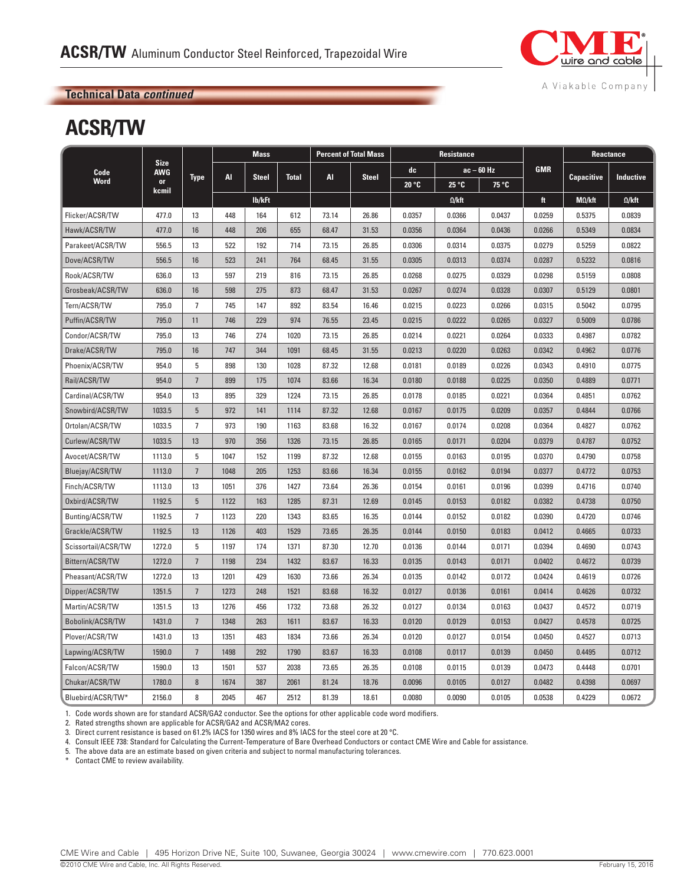

## **ACSR/TW**

|                     | <b>Size</b><br><b>AWG</b> | <b>Type</b>     | <b>Mass</b> |                              |      | <b>Percent of Total Mass</b> |              | <b>Resistance</b>  |               |            |        | <b>Reactance</b>  |               |
|---------------------|---------------------------|-----------------|-------------|------------------------------|------|------------------------------|--------------|--------------------|---------------|------------|--------|-------------------|---------------|
| Code                |                           |                 | AI          | <b>Steel</b><br><b>Total</b> |      | <b>AI</b>                    |              | $ac - 60 Hz$<br>dc |               | <b>GMR</b> |        | <b>Inductive</b>  |               |
| <b>Word</b>         | <b>or</b><br>kcmil        |                 |             |                              |      |                              | <b>Steel</b> | 20 °C              | 25 °C         | 75 °C      |        | <b>Capacitive</b> |               |
|                     |                           |                 |             | lb/kFt                       |      |                              |              |                    | $\Omega$ /kft |            | ft     | $M\Omega/kft$     | $\Omega$ /kft |
| Flicker/ACSR/TW     | 477.0                     | 13              | 448         | 164                          | 612  | 73.14                        | 26.86        | 0.0357             | 0.0366        | 0.0437     | 0.0259 | 0.5375            | 0.0839        |
| Hawk/ACSR/TW        | 477.0                     | 16              | 448         | 206                          | 655  | 68.47                        | 31.53        | 0.0356             | 0.0364        | 0.0436     | 0.0266 | 0.5349            | 0.0834        |
| Parakeet/ACSR/TW    | 556.5                     | 13              | 522         | 192                          | 714  | 73.15                        | 26.85        | 0.0306             | 0.0314        | 0.0375     | 0.0279 | 0.5259            | 0.0822        |
| Dove/ACSR/TW        | 556.5                     | 16              | 523         | 241                          | 764  | 68.45                        | 31.55        | 0.0305             | 0.0313        | 0.0374     | 0.0287 | 0.5232            | 0.0816        |
| Rook/ACSR/TW        | 636.0                     | 13              | 597         | 219                          | 816  | 73.15                        | 26.85        | 0.0268             | 0.0275        | 0.0329     | 0.0298 | 0.5159            | 0.0808        |
| Grosbeak/ACSR/TW    | 636.0                     | 16              | 598         | 275                          | 873  | 68.47                        | 31.53        | 0.0267             | 0.0274        | 0.0328     | 0.0307 | 0.5129            | 0.0801        |
| Tern/ACSR/TW        | 795.0                     | $\overline{7}$  | 745         | 147                          | 892  | 83.54                        | 16.46        | 0.0215             | 0.0223        | 0.0266     | 0.0315 | 0.5042            | 0.0795        |
| Puffin/ACSR/TW      | 795.0                     | 11              | 746         | 229                          | 974  | 76.55                        | 23.45        | 0.0215             | 0.0222        | 0.0265     | 0.0327 | 0.5009            | 0.0786        |
| Condor/ACSR/TW      | 795.0                     | 13              | 746         | 274                          | 1020 | 73.15                        | 26.85        | 0.0214             | 0.0221        | 0.0264     | 0.0333 | 0.4987            | 0.0782        |
| Drake/ACSR/TW       | 795.0                     | 16              | 747         | 344                          | 1091 | 68.45                        | 31.55        | 0.0213             | 0.0220        | 0.0263     | 0.0342 | 0.4962            | 0.0776        |
| Phoenix/ACSR/TW     | 954.0                     | 5               | 898         | 130                          | 1028 | 87.32                        | 12.68        | 0.0181             | 0.0189        | 0.0226     | 0.0343 | 0.4910            | 0.0775        |
| Rail/ACSR/TW        | 954.0                     | $\overline{7}$  | 899         | 175                          | 1074 | 83.66                        | 16.34        | 0.0180             | 0.0188        | 0.0225     | 0.0350 | 0.4889            | 0.0771        |
| Cardinal/ACSR/TW    | 954.0                     | 13              | 895         | 329                          | 1224 | 73.15                        | 26.85        | 0.0178             | 0.0185        | 0.0221     | 0.0364 | 0.4851            | 0.0762        |
| Snowbird/ACSR/TW    | 1033.5                    | 5               | 972         | 141                          | 1114 | 87.32                        | 12.68        | 0.0167             | 0.0175        | 0.0209     | 0.0357 | 0.4844            | 0.0766        |
| Ortolan/ACSR/TW     | 1033.5                    | $\overline{7}$  | 973         | 190                          | 1163 | 83.68                        | 16.32        | 0.0167             | 0.0174        | 0.0208     | 0.0364 | 0.4827            | 0.0762        |
| Curlew/ACSR/TW      | 1033.5                    | 13              | 970         | 356                          | 1326 | 73.15                        | 26.85        | 0.0165             | 0.0171        | 0.0204     | 0.0379 | 0.4787            | 0.0752        |
| Avocet/ACSR/TW      | 1113.0                    | 5               | 1047        | 152                          | 1199 | 87.32                        | 12.68        | 0.0155             | 0.0163        | 0.0195     | 0.0370 | 0.4790            | 0.0758        |
| Bluejay/ACSR/TW     | 1113.0                    | $\overline{7}$  | 1048        | 205                          | 1253 | 83.66                        | 16.34        | 0.0155             | 0.0162        | 0.0194     | 0.0377 | 0.4772            | 0.0753        |
| Finch/ACSR/TW       | 1113.0                    | 13              | 1051        | 376                          | 1427 | 73.64                        | 26.36        | 0.0154             | 0.0161        | 0.0196     | 0.0399 | 0.4716            | 0.0740        |
| Oxbird/ACSR/TW      | 1192.5                    | $5\phantom{.0}$ | 1122        | 163                          | 1285 | 87.31                        | 12.69        | 0.0145             | 0.0153        | 0.0182     | 0.0382 | 0.4738            | 0.0750        |
| Bunting/ACSR/TW     | 1192.5                    | $\overline{7}$  | 1123        | 220                          | 1343 | 83.65                        | 16.35        | 0.0144             | 0.0152        | 0.0182     | 0.0390 | 0.4720            | 0.0746        |
| Grackle/ACSR/TW     | 1192.5                    | 13              | 1126        | 403                          | 1529 | 73.65                        | 26.35        | 0.0144             | 0.0150        | 0.0183     | 0.0412 | 0.4665            | 0.0733        |
| Scissortail/ACSR/TW | 1272.0                    | 5               | 1197        | 174                          | 1371 | 87.30                        | 12.70        | 0.0136             | 0.0144        | 0.0171     | 0.0394 | 0.4690            | 0.0743        |
| Bittern/ACSR/TW     | 1272.0                    | $\overline{7}$  | 1198        | 234                          | 1432 | 83.67                        | 16.33        | 0.0135             | 0.0143        | 0.0171     | 0.0402 | 0.4672            | 0.0739        |
| Pheasant/ACSR/TW    | 1272.0                    | 13              | 1201        | 429                          | 1630 | 73.66                        | 26.34        | 0.0135             | 0.0142        | 0.0172     | 0.0424 | 0.4619            | 0.0726        |
| Dipper/ACSR/TW      | 1351.5                    | $7\overline{ }$ | 1273        | 248                          | 1521 | 83.68                        | 16.32        | 0.0127             | 0.0136        | 0.0161     | 0.0414 | 0.4626            | 0.0732        |
| Martin/ACSR/TW      | 1351.5                    | 13              | 1276        | 456                          | 1732 | 73.68                        | 26.32        | 0.0127             | 0.0134        | 0.0163     | 0.0437 | 0.4572            | 0.0719        |
| Bobolink/ACSR/TW    | 1431.0                    | $\overline{7}$  | 1348        | 263                          | 1611 | 83.67                        | 16.33        | 0.0120             | 0.0129        | 0.0153     | 0.0427 | 0.4578            | 0.0725        |
| Plover/ACSR/TW      | 1431.0                    | 13              | 1351        | 483                          | 1834 | 73.66                        | 26.34        | 0.0120             | 0.0127        | 0.0154     | 0.0450 | 0.4527            | 0.0713        |
| Lapwing/ACSR/TW     | 1590.0                    | $7\overline{ }$ | 1498        | 292                          | 1790 | 83.67                        | 16.33        | 0.0108             | 0.0117        | 0.0139     | 0.0450 | 0.4495            | 0.0712        |
| Falcon/ACSR/TW      | 1590.0                    | 13              | 1501        | 537                          | 2038 | 73.65                        | 26.35        | 0.0108             | 0.0115        | 0.0139     | 0.0473 | 0.4448            | 0.0701        |
| Chukar/ACSR/TW      | 1780.0                    | 8               | 1674        | 387                          | 2061 | 81.24                        | 18.76        | 0.0096             | 0.0105        | 0.0127     | 0.0482 | 0.4398            | 0.0697        |
| Bluebird/ACSR/TW*   | 2156.0                    | 8               | 2045        | 467                          | 2512 | 81.39                        | 18.61        | 0.0080             | 0.0090        | 0.0105     | 0.0538 | 0.4229            | 0.0672        |

1. Code words shown are for standard ACSR/GA2 conductor. See the options for other applicable code word modifiers.

2. Rated strengths shown are applicable for ACSR/GA2 and ACSR/MA2 cores.

3. Direct current resistance is based on 61.2% IACS for 1350 wires and 8% IACS for the steel core at 20 °C.

4. Consult IEEE 738: Standard for Calculating the Current-Temperature of Bare Overhead Conductors or contact CME Wire and Cable for assistance.

5. The above data are an estimate based on given criteria and subject to normal manufacturing tolerances.

\* Contact CME to review availability.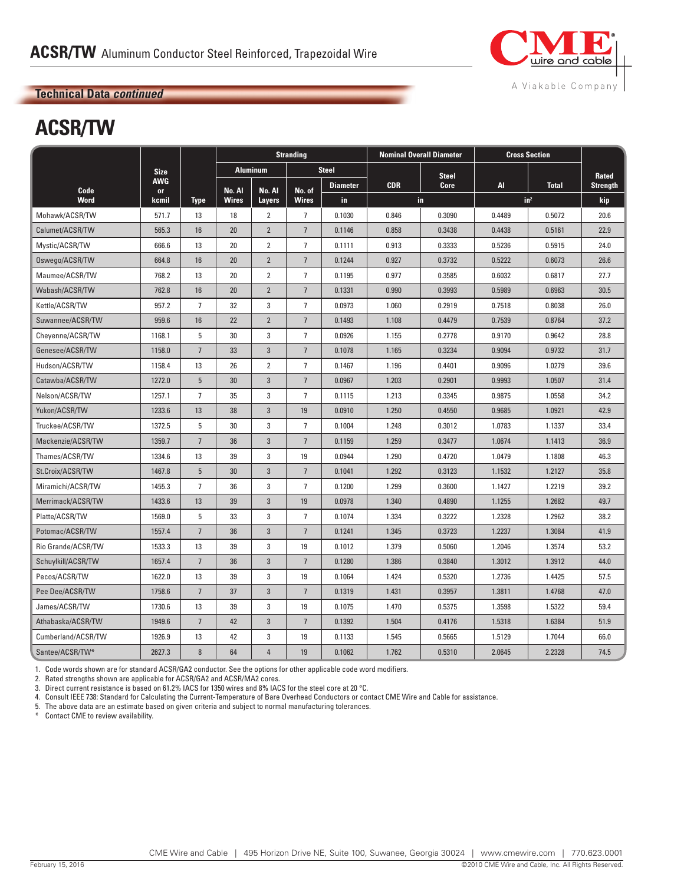

# **ACSR/TW**

|                    |                  |                 | <b>Stranding</b> |                 |                | <b>Nominal Overall Diameter</b> | <b>Cross Section</b> |              |        |                 |                 |
|--------------------|------------------|-----------------|------------------|-----------------|----------------|---------------------------------|----------------------|--------------|--------|-----------------|-----------------|
|                    | <b>Size</b>      |                 |                  | <b>Aluminum</b> |                | <b>Steel</b>                    |                      | <b>Steel</b> |        |                 | Rated           |
| Code               | <b>AWG</b><br>or |                 | No. Al           | No. Al          | No. of         | <b>Diameter</b>                 | <b>CDR</b>           | Core         | AI.    | <b>Total</b>    | <b>Strength</b> |
| <b>Word</b>        | kcmil            | <b>Type</b>     | <b>Wires</b>     | Layers          | <b>Wires</b>   | in                              |                      | in.          |        | in <sup>2</sup> | kip             |
| Mohawk/ACSR/TW     | 571.7            | 13              | 18               | $\overline{2}$  | $\overline{7}$ | 0.1030                          | 0.846                | 0.3090       | 0.4489 | 0.5072          | 20.6            |
| Calumet/ACSR/TW    | 565.3            | 16              | 20               | $\overline{2}$  | $\overline{7}$ | 0.1146                          | 0.858                | 0.3438       | 0.4438 | 0.5161          | 22.9            |
| Mystic/ACSR/TW     | 666.6            | 13              | 20               | $\overline{2}$  | $\overline{7}$ | 0.1111                          | 0.913                | 0.3333       | 0.5236 | 0.5915          | 24.0            |
| Oswego/ACSR/TW     | 664.8            | 16              | 20               | $\overline{2}$  | $\overline{7}$ | 0.1244                          | 0.927                | 0.3732       | 0.5222 | 0.6073          | 26.6            |
| Maumee/ACSR/TW     | 768.2            | 13              | 20               | $\overline{2}$  | $\overline{7}$ | 0.1195                          | 0.977                | 0.3585       | 0.6032 | 0.6817          | 27.7            |
| Wabash/ACSR/TW     | 762.8            | 16              | 20               | $\overline{2}$  | $\overline{7}$ | 0.1331                          | 0.990                | 0.3993       | 0.5989 | 0.6963          | 30.5            |
| Kettle/ACSR/TW     | 957.2            | $\overline{7}$  | 32               | 3               | $\overline{7}$ | 0.0973                          | 1.060                | 0.2919       | 0.7518 | 0.8038          | 26.0            |
| Suwannee/ACSR/TW   | 959.6            | 16              | 22               | $\overline{2}$  | $\overline{7}$ | 0.1493                          | 1.108                | 0.4479       | 0.7539 | 0.8764          | 37.2            |
| Cheyenne/ACSR/TW   | 1168.1           | 5               | 30               | 3               | $\overline{7}$ | 0.0926                          | 1.155                | 0.2778       | 0.9170 | 0.9642          | 28.8            |
| Genesee/ACSR/TW    | 1158.0           | $\overline{7}$  | 33               | 3               | $\overline{7}$ | 0.1078                          | 1.165                | 0.3234       | 0.9094 | 0.9732          | 31.7            |
| Hudson/ACSR/TW     | 1158.4           | 13              | 26               | $\overline{2}$  | $\overline{7}$ | 0.1467                          | 1.196                | 0.4401       | 0.9096 | 1.0279          | 39.6            |
| Catawba/ACSR/TW    | 1272.0           | 5               | 30               | 3               | $\overline{7}$ | 0.0967                          | 1.203                | 0.2901       | 0.9993 | 1.0507          | 31.4            |
| Nelson/ACSR/TW     | 1257.1           | $\overline{7}$  | 35               | 3               | $\overline{7}$ | 0.1115                          | 1.213                | 0.3345       | 0.9875 | 1.0558          | 34.2            |
| Yukon/ACSR/TW      | 1233.6           | 13              | 38               | 3               | 19             | 0.0910                          | 1.250                | 0.4550       | 0.9685 | 1.0921          | 42.9            |
| Truckee/ACSR/TW    | 1372.5           | 5               | 30               | 3               | $\overline{7}$ | 0.1004                          | 1.248                | 0.3012       | 1.0783 | 1.1337          | 33.4            |
| Mackenzie/ACSR/TW  | 1359.7           | $7\overline{ }$ | 36               | 3               | $\overline{7}$ | 0.1159                          | 1.259                | 0.3477       | 1.0674 | 1.1413          | 36.9            |
| Thames/ACSR/TW     | 1334.6           | 13              | 39               | 3               | 19             | 0.0944                          | 1.290                | 0.4720       | 1.0479 | 1.1808          | 46.3            |
| St.Croix/ACSR/TW   | 1467.8           | 5               | 30               | 3               | $\overline{7}$ | 0.1041                          | 1.292                | 0.3123       | 1.1532 | 1.2127          | 35.8            |
| Miramichi/ACSR/TW  | 1455.3           | $\overline{7}$  | 36               | 3               | $\overline{7}$ | 0.1200                          | 1.299                | 0.3600       | 1.1427 | 1.2219          | 39.2            |
| Merrimack/ACSR/TW  | 1433.6           | 13              | 39               | 3               | 19             | 0.0978                          | 1.340                | 0.4890       | 1.1255 | 1.2682          | 49.7            |
| Platte/ACSR/TW     | 1569.0           | 5               | 33               | 3               | $\overline{7}$ | 0.1074                          | 1.334                | 0.3222       | 1.2328 | 1.2962          | 38.2            |
| Potomac/ACSR/TW    | 1557.4           | $7\overline{ }$ | 36               | 3               | $\overline{7}$ | 0.1241                          | 1.345                | 0.3723       | 1.2237 | 1.3084          | 41.9            |
| Rio Grande/ACSR/TW | 1533.3           | 13              | 39               | 3               | 19             | 0.1012                          | 1.379                | 0.5060       | 1.2046 | 1.3574          | 53.2            |
| Schuylkill/ACSR/TW | 1657.4           | $7\overline{ }$ | 36               | 3               | $\overline{7}$ | 0.1280                          | 1.386                | 0.3840       | 1.3012 | 1.3912          | 44.0            |
| Pecos/ACSR/TW      | 1622.0           | 13              | 39               | 3               | 19             | 0.1064                          | 1.424                | 0.5320       | 1.2736 | 1.4425          | 57.5            |
| Pee Dee/ACSR/TW    | 1758.6           | $7\overline{ }$ | 37               | 3               | $\overline{7}$ | 0.1319                          | 1.431                | 0.3957       | 1.3811 | 1.4768          | 47.0            |
| James/ACSR/TW      | 1730.6           | 13              | 39               | 3               | 19             | 0.1075                          | 1.470                | 0.5375       | 1.3598 | 1.5322          | 59.4            |
| Athabaska/ACSR/TW  | 1949.6           | $\overline{7}$  | 42               | 3               | $\overline{7}$ | 0.1392                          | 1.504                | 0.4176       | 1.5318 | 1.6384          | 51.9            |
| Cumberland/ACSR/TW | 1926.9           | 13              | 42               | 3               | 19             | 0.1133                          | 1.545                | 0.5665       | 1.5129 | 1.7044          | 66.0            |
| Santee/ACSR/TW*    | 2627.3           | 8               | 64               | $\overline{4}$  | 19             | 0.1062                          | 1.762                | 0.5310       | 2.0645 | 2.2328          | 74.5            |

1. Code words shown are for standard ACSR/GA2 conductor. See the options for other applicable code word modifiers.

2. Rated strengths shown are applicable for ACSR/GA2 and ACSR/MA2 cores.

3. Direct current resistance is based on 61.2% IACS for 1350 wires and 8% IACS for the steel core at 20 °C.

4. Consult IEEE 738: Standard for Calculating the Current-Temperature of Bare Overhead Conductors or contact CME Wire and Cable for assistance.

5. The above data are an estimate based on given criteria and subject to normal manufacturing tolerances.<br>\* Contact CME to review availability.

Contact CME to review availability.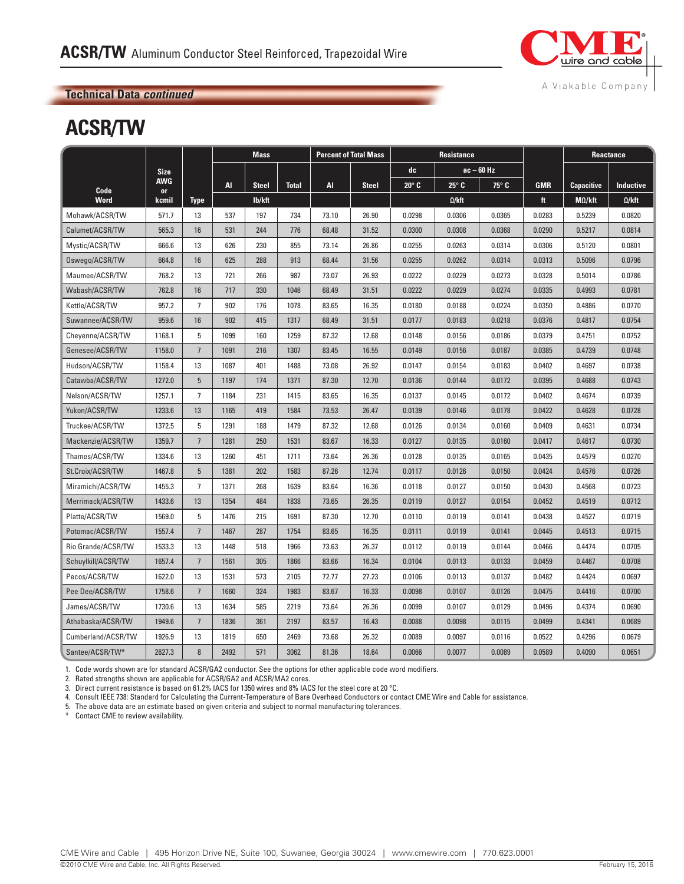

#### **Technical Data** *continued* **Technical Data** *continued*

## **ACSR/TW**

|                    |                  |                | <b>Mass</b> |              | <b>Percent of Total Mass</b> |       |              | Resistance   |               |            | Reactance  |                   |                  |
|--------------------|------------------|----------------|-------------|--------------|------------------------------|-------|--------------|--------------|---------------|------------|------------|-------------------|------------------|
|                    | <b>Size</b>      |                |             |              |                              |       |              | dc           |               | ac – 60 Hz |            |                   |                  |
| Code               | <b>AWG</b><br>or |                | Al          | <b>Steel</b> | <b>Total</b>                 | AI    | <b>Steel</b> | $20^\circ$ C | $25^\circ$ C  | 75° C      | <b>GMR</b> | <b>Capacitive</b> | <b>Inductive</b> |
| Word               | kcmil            | <b>Type</b>    |             | lb/kft       |                              |       |              |              | $\Omega$ /kft |            | ft         | $M\Omega/kft$     | $\Omega$ /kft    |
| Mohawk/ACSR/TW     | 571.7            | 13             | 537         | 197          | 734                          | 73.10 | 26.90        | 0.0298       | 0.0306        | 0.0365     | 0.0283     | 0.5239            | 0.0820           |
| Calumet/ACSR/TW    | 565.3            | 16             | 531         | 244          | 776                          | 68.48 | 31.52        | 0.0300       | 0.0308        | 0.0368     | 0.0290     | 0.5217            | 0.0814           |
| Mystic/ACSR/TW     | 666.6            | 13             | 626         | 230          | 855                          | 73.14 | 26.86        | 0.0255       | 0.0263        | 0.0314     | 0.0306     | 0.5120            | 0.0801           |
| Oswego/ACSR/TW     | 664.8            | 16             | 625         | 288          | 913                          | 68.44 | 31.56        | 0.0255       | 0.0262        | 0.0314     | 0.0313     | 0.5096            | 0.0796           |
| Maumee/ACSR/TW     | 768.2            | 13             | 721         | 266          | 987                          | 73.07 | 26.93        | 0.0222       | 0.0229        | 0.0273     | 0.0328     | 0.5014            | 0.0786           |
| Wabash/ACSR/TW     | 762.8            | 16             | 717         | 330          | 1046                         | 68.49 | 31.51        | 0.0222       | 0.0229        | 0.0274     | 0.0335     | 0.4993            | 0.0781           |
| Kettle/ACSR/TW     | 957.2            | $\overline{7}$ | 902         | 176          | 1078                         | 83.65 | 16.35        | 0.0180       | 0.0188        | 0.0224     | 0.0350     | 0.4886            | 0.0770           |
| Suwannee/ACSR/TW   | 959.6            | 16             | 902         | 415          | 1317                         | 68.49 | 31.51        | 0.0177       | 0.0183        | 0.0218     | 0.0376     | 0.4817            | 0.0754           |
| Cheyenne/ACSR/TW   | 1168.1           | 5              | 1099        | 160          | 1259                         | 87.32 | 12.68        | 0.0148       | 0.0156        | 0.0186     | 0.0379     | 0.4751            | 0.0752           |
| Genesee/ACSR/TW    | 1158.0           | $\overline{7}$ | 1091        | 216          | 1307                         | 83.45 | 16.55        | 0.0149       | 0.0156        | 0.0187     | 0.0385     | 0.4739            | 0.0748           |
| Hudson/ACSR/TW     | 1158.4           | 13             | 1087        | 401          | 1488                         | 73.08 | 26.92        | 0.0147       | 0.0154        | 0.0183     | 0.0402     | 0.4697            | 0.0738           |
| Catawba/ACSR/TW    | 1272.0           | 5              | 1197        | 174          | 1371                         | 87.30 | 12.70        | 0.0136       | 0.0144        | 0.0172     | 0.0395     | 0.4688            | 0.0743           |
| Nelson/ACSR/TW     | 1257.1           | $\overline{7}$ | 1184        | 231          | 1415                         | 83.65 | 16.35        | 0.0137       | 0.0145        | 0.0172     | 0.0402     | 0.4674            | 0.0739           |
| Yukon/ACSR/TW      | 1233.6           | 13             | 1165        | 419          | 1584                         | 73.53 | 26.47        | 0.0139       | 0.0146        | 0.0178     | 0.0422     | 0.4628            | 0.0728           |
| Truckee/ACSR/TW    | 1372.5           | 5              | 1291        | 188          | 1479                         | 87.32 | 12.68        | 0.0126       | 0.0134        | 0.0160     | 0.0409     | 0.4631            | 0.0734           |
| Mackenzie/ACSR/TW  | 1359.7           | $\overline{7}$ | 1281        | 250          | 1531                         | 83.67 | 16.33        | 0.0127       | 0.0135        | 0.0160     | 0.0417     | 0.4617            | 0.0730           |
| Thames/ACSR/TW     | 1334.6           | 13             | 1260        | 451          | 1711                         | 73.64 | 26.36        | 0.0128       | 0.0135        | 0.0165     | 0.0435     | 0.4579            | 0.0270           |
| St.Croix/ACSR/TW   | 1467.8           | 5              | 1381        | 202          | 1583                         | 87.26 | 12.74        | 0.0117       | 0.0126        | 0.0150     | 0.0424     | 0.4576            | 0.0726           |
| Miramichi/ACSR/TW  | 1455.3           | $\overline{7}$ | 1371        | 268          | 1639                         | 83.64 | 16.36        | 0.0118       | 0.0127        | 0.0150     | 0.0430     | 0.4568            | 0.0723           |
| Merrimack/ACSR/TW  | 1433.6           | 13             | 1354        | 484          | 1838                         | 73.65 | 26.35        | 0.0119       | 0.0127        | 0.0154     | 0.0452     | 0.4519            | 0.0712           |
| Platte/ACSR/TW     | 1569.0           | 5              | 1476        | 215          | 1691                         | 87.30 | 12.70        | 0.0110       | 0.0119        | 0.0141     | 0.0438     | 0.4527            | 0.0719           |
| Potomac/ACSR/TW    | 1557.4           | $\overline{7}$ | 1467        | 287          | 1754                         | 83.65 | 16.35        | 0.0111       | 0.0119        | 0.0141     | 0.0445     | 0.4513            | 0.0715           |
| Rio Grande/ACSR/TW | 1533.3           | 13             | 1448        | 518          | 1966                         | 73.63 | 26.37        | 0.0112       | 0.0119        | 0.0144     | 0.0466     | 0.4474            | 0.0705           |
| Schuylkill/ACSR/TW | 1657.4           | $\overline{7}$ | 1561        | 305          | 1866                         | 83.66 | 16.34        | 0.0104       | 0.0113        | 0.0133     | 0.0459     | 0.4467            | 0.0708           |
| Pecos/ACSR/TW      | 1622.0           | 13             | 1531        | 573          | 2105                         | 72.77 | 27.23        | 0.0106       | 0.0113        | 0.0137     | 0.0482     | 0.4424            | 0.0697           |
| Pee Dee/ACSR/TW    | 1758.6           | $\overline{7}$ | 1660        | 324          | 1983                         | 83.67 | 16.33        | 0.0098       | 0.0107        | 0.0126     | 0.0475     | 0.4416            | 0.0700           |
| James/ACSR/TW      | 1730.6           | 13             | 1634        | 585          | 2219                         | 73.64 | 26.36        | 0.0099       | 0.0107        | 0.0129     | 0.0496     | 0.4374            | 0.0690           |
| Athabaska/ACSR/TW  | 1949.6           | $\overline{7}$ | 1836        | 361          | 2197                         | 83.57 | 16.43        | 0.0088       | 0.0098        | 0.0115     | 0.0499     | 0.4341            | 0.0689           |
| Cumberland/ACSR/TW | 1926.9           | 13             | 1819        | 650          | 2469                         | 73.68 | 26.32        | 0.0089       | 0.0097        | 0.0116     | 0.0522     | 0.4296            | 0.0679           |
| Santee/ACSR/TW*    | 2627.3           | 8              | 2492        | 571          | 3062                         | 81.36 | 18.64        | 0.0066       | 0.0077        | 0.0089     | 0.0589     | 0.4090            | 0.0651           |

1. Code words shown are for standard ACSR/GA2 conductor. See the options for other applicable code word modifiers.

2. Rated strengths shown are applicable for ACSR/GA2 and ACSR/MA2 cores.

3. Direct current resistance is based on 61.2% IACS for 1350 wires and 8% IACS for the steel core at 20 °C.

4. Consult IEEE 738: Standard for Calculating the Current-Temperature of Bare Overhead Conductors or contact CME Wire and Cable for assistance.

5. The above data are an estimate based on given criteria and subject to normal manufacturing tolerances.

\* Contact CME to review availability.